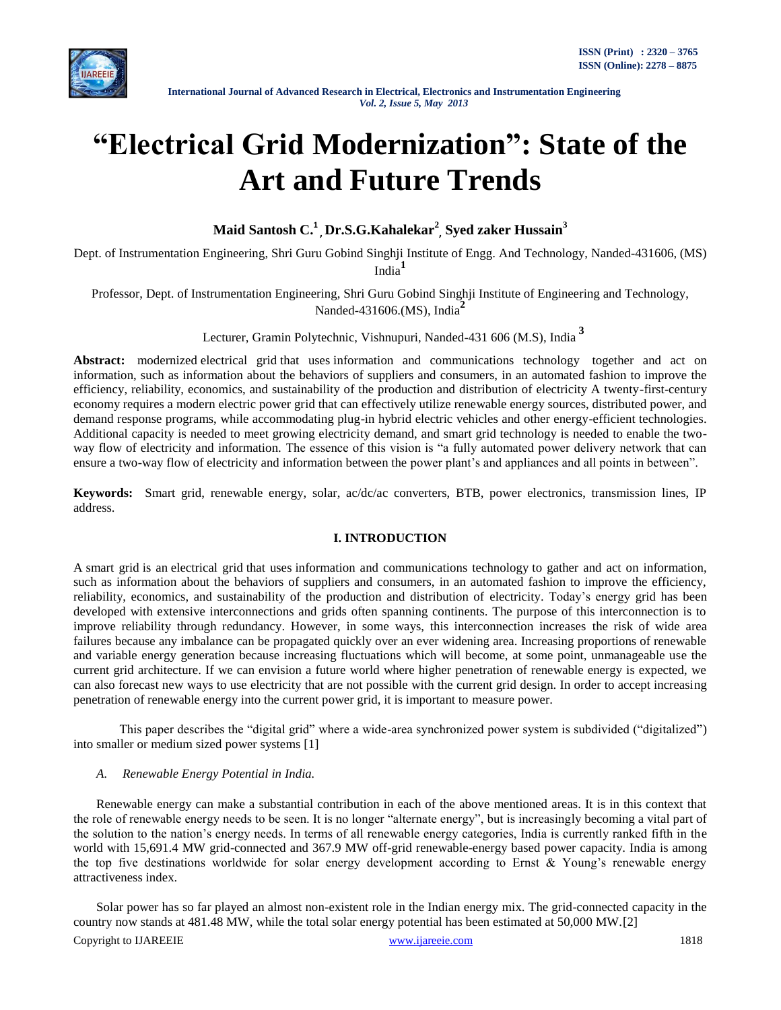

# **"Electrical Grid Modernization": State of the Art and Future Trends**

# **Maid Santosh C. 1 , Dr.S.G.Kahalekar<sup>2</sup> , Syed zaker Hussain<sup>3</sup>**

Dept. of Instrumentation Engineering, Shri Guru Gobind Singhji Institute of Engg. And Technology, Nanded-431606, (MS) India**<sup>1</sup>**

Professor, Dept. of Instrumentation Engineering, Shri Guru Gobind Singhji Institute of Engineering and Technology, Nanded-431606.(MS), India**<sup>2</sup>**

Lecturer, Gramin Polytechnic, Vishnupuri, Nanded-431 606 (M.S), India **<sup>3</sup>**

Abstract: modernized [electrical grid](http://en.wikipedia.org/wiki/Electrical_grid) that uses [information and communications technology](http://en.wikipedia.org/wiki/Information_and_communications_technology) together and act on information, such as information about the behaviors of suppliers and consumers, in an automated fashion to improve the efficiency, reliability, economics, and sustainability of the production and distribution of electricity A twenty-first-century economy requires a modern electric power grid that can effectively utilize renewable energy sources, distributed power, and demand response programs, while accommodating plug-in hybrid electric vehicles and other energy-efficient technologies. Additional capacity is needed to meet growing electricity demand, and smart grid technology is needed to enable the twoway flow of electricity and information. The essence of this vision is "a fully automated power delivery network that can ensure a two-way flow of electricity and information between the power plant's and appliances and all points in between".

**Keywords:** Smart grid, renewable energy, solar, ac/dc/ac converters, BTB, power electronics, transmission lines, IP address.

# **I. INTRODUCTION**

A smart grid is an [electrical grid](http://en.wikipedia.org/wiki/Electrical_grid) that uses [information and communications technology](http://en.wikipedia.org/wiki/Information_and_communications_technology) to gather and act on information, such as information about the behaviors of suppliers and consumers, in an automated fashion to improve the efficiency, reliability, economics, and sustainability of the production and distribution of electricity. Today's energy grid has been developed with extensive interconnections and grids often spanning continents. The purpose of this interconnection is to improve reliability through redundancy. However, in some ways, this interconnection increases the risk of wide area failures because any imbalance can be propagated quickly over an ever widening area. Increasing proportions of renewable and variable energy generation because increasing fluctuations which will become, at some point, unmanageable use the current grid architecture. If we can envision a future world where higher penetration of renewable energy is expected, we can also forecast new ways to use electricity that are not possible with the current grid design. In order to accept increasing penetration of renewable energy into the current power grid, it is important to measure power.

This paper describes the "digital grid" where a wide-area synchronized power system is subdivided ("digitalized") into smaller or medium sized power systems [1]

# *A. Renewable Energy Potential in India.*

Renewable energy can make a substantial contribution in each of the above mentioned areas. It is in this context that the role of renewable energy needs to be seen. It is no longer "alternate energy", but is increasingly becoming a vital part of the solution to the nation's energy needs. In terms of all renewable energy categories, India is currently ranked fifth in the world with 15,691.4 MW grid-connected and 367.9 MW off-grid renewable-energy based power capacity. India is among the top five destinations worldwide for solar energy development according to Ernst & Young's renewable energy attractiveness index.

Solar power has so far played an almost non-existent role in the Indian energy mix. The grid-connected capacity in the country now stands at 481.48 MW, while the total solar energy potential has been estimated at 50,000 MW.[2]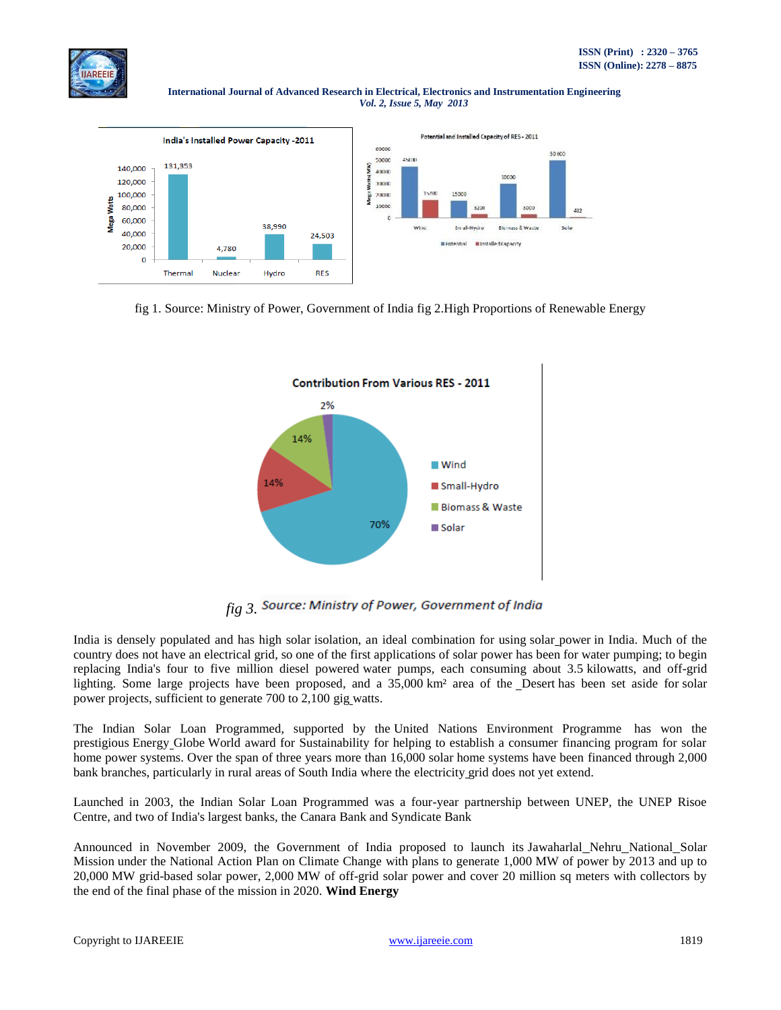

**International Journal of Advanced Research in Electrical, Electronics and Instrumentation Engineering**   *Vol. 2, Issue 5, May 2013*







*fig 3.* Source: Ministry of Power, Government of India

India is densely populated and has high solar [isolation,](http://en.wikipedia.org/wiki/Insolation) an ideal combination for using solar [power](http://en.wikipedia.org/wiki/Solar_power) in India. Much of the country does not have an [electrical grid,](http://en.wikipedia.org/wiki/Electrical_grid) so one of the first applications of solar power has been for water pumping; to begin replacing India's four to five million diesel powered [water pumps,](http://en.wikipedia.org/wiki/Water_pump) each consuming about 3.5 kilowatts, and off-grid lighting. Some large projects have been proposed, and a 35,000 km<sup>2</sup> area of the [Desert](http://en.wikipedia.org/wiki/Thar_Desert) has been set aside for [solar](http://en.wikipedia.org/wiki/Solar_power) [power](http://en.wikipedia.org/wiki/Solar_power) projects, sufficient to generate 700 to 2,100 gig [watts.](http://en.wikipedia.org/wiki/Gigawatt)

The Indian Solar Loan Programmed, supported by the United Nations Environment Programme has won the prestigious [Energy](http://en.wikipedia.org/wiki/Energy_Globe) Globe World award for Sustainability for helping to establish a consumer financing program for solar home power systems. Over the span of three years more than 16,000 solar home systems have been financed through 2,000 bank branches, particularly in rural areas of South India where the [electricity](http://en.wikipedia.org/wiki/Electricity_grid) grid does not yet extend.

Launched in 2003, the Indian Solar Loan Programmed was a four-year partnership between UNEP, the UNEP Risoe Centre, and two of India's largest banks, the Canara Bank and Syndicate Bank

Announced in November 2009, the Government of India proposed to launch its [Jawaharlal](http://en.wikipedia.org/wiki/Jawaharlal_Nehru_National_Solar_Mission) Nehru National Solar [Mission](http://en.wikipedia.org/wiki/Jawaharlal_Nehru_National_Solar_Mission) under the National Action Plan on Climate Change with plans to generate 1,000 MW of power by 2013 and up to 20,000 MW grid-based solar power, 2,000 MW of off-grid solar power and cover 20 million sq meters with collectors by the end of the final phase of the mission in 2020. **Wind Energy**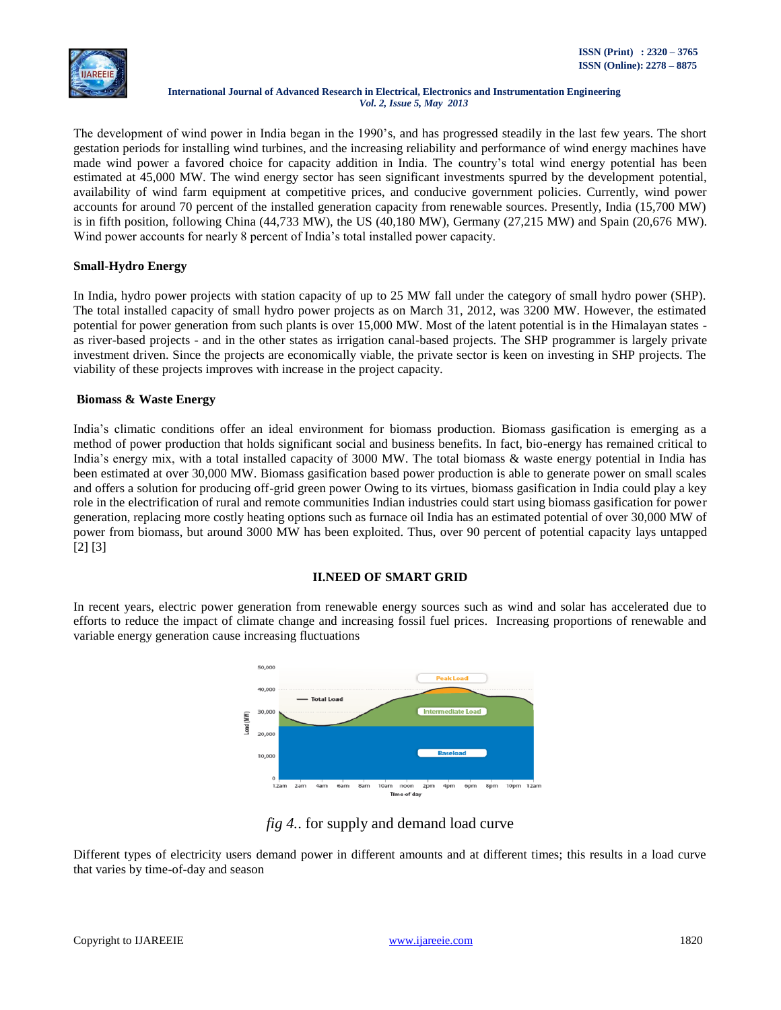

The development of wind power in India began in the 1990's, and has progressed steadily in the last few years. The short gestation periods for installing wind turbines, and the increasing reliability and performance of wind energy machines have made wind power a favored choice for capacity addition in India. The country's total wind energy potential has been estimated at 45,000 MW. The wind energy sector has seen significant investments spurred by the development potential, availability of wind farm equipment at competitive prices, and conducive government policies. Currently, wind power accounts for around 70 percent of the installed generation capacity from renewable sources. Presently, India (15,700 MW) is in fifth position, following China (44,733 MW), the US (40,180 MW), Germany (27,215 MW) and Spain (20,676 MW). Wind power accounts for nearly 8 percent of India's total installed power capacity.

# **Small-Hydro Energy**

In India, hydro power projects with station capacity of up to 25 MW fall under the category of small hydro power (SHP). The total installed capacity of small hydro power projects as on March 31, 2012, was 3200 MW. However, the estimated potential for power generation from such plants is over 15,000 MW. Most of the latent potential is in the Himalayan states as river-based projects - and in the other states as irrigation canal-based projects. The SHP programmer is largely private investment driven. Since the projects are economically viable, the private sector is keen on investing in SHP projects. The viability of these projects improves with increase in the project capacity.

# **Biomass & Waste Energy**

India's climatic conditions offer an ideal environment for biomass production. Biomass gasification is emerging as a method of power production that holds significant social and business benefits. In fact, bio-energy has remained critical to India's energy mix, with a total installed capacity of 3000 MW. The total biomass & waste energy potential in India has been estimated at over 30,000 MW. Biomass gasification based power production is able to generate power on small scales and offers a solution for producing off-grid green power Owing to its virtues, biomass gasification in India could play a key role in the electrification of rural and remote communities Indian industries could start using biomass gasification for power generation, replacing more costly heating options such as furnace oil India has an estimated potential of over 30,000 MW of power from biomass, but around 3000 MW has been exploited. Thus, over 90 percent of potential capacity lays untapped [2] [3]

# **II.NEED OF SMART GRID**

In recent years, electric power generation from renewable energy sources such as wind and solar has accelerated due to efforts to reduce the impact of climate change and increasing fossil fuel prices. Increasing proportions of renewable and variable energy generation cause increasing fluctuations



# *fig 4.*. for supply and demand load curve

Different types of electricity users demand power in different amounts and at different times; this results in a load curve that varies by time-of-day and season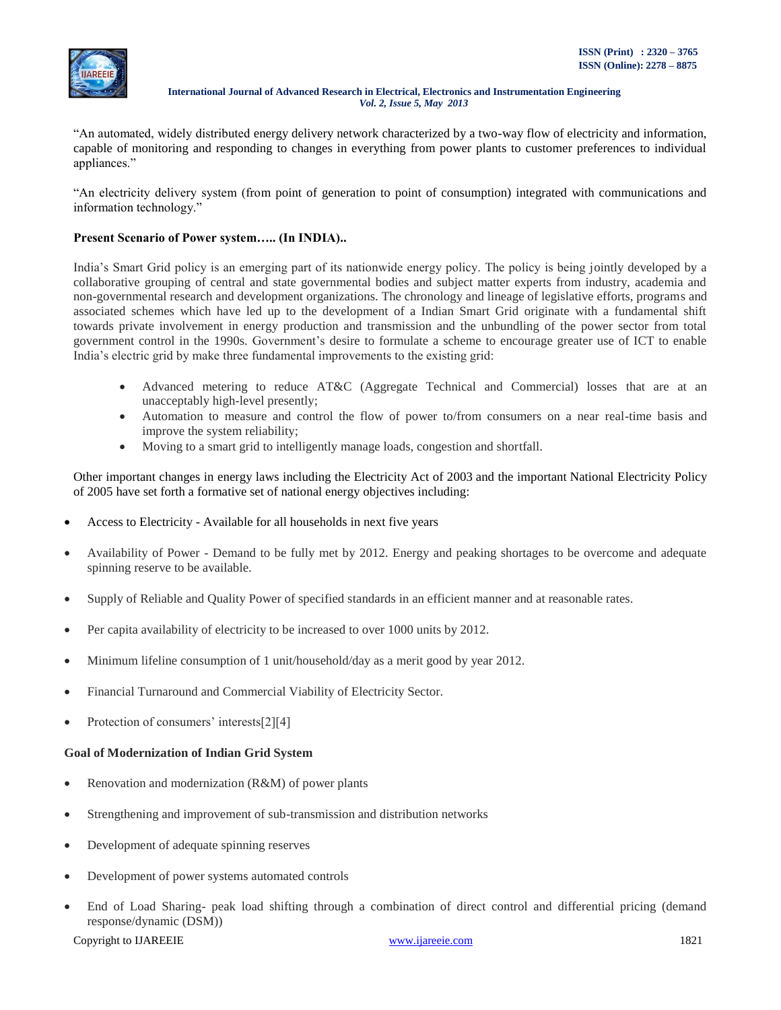

"An automated, widely distributed energy delivery network characterized by a two-way flow of electricity and information, capable of monitoring and responding to changes in everything from power plants to customer preferences to individual appliances."

"An electricity delivery system (from point of generation to point of consumption) integrated with communications and information technology."

# **Present Scenario of Power system….. (In INDIA)..**

India's Smart Grid policy is an emerging part of its nationwide energy policy. The policy is being jointly developed by a collaborative grouping of central and state governmental bodies and subject matter experts from industry, academia and non-governmental research and development organizations. The chronology and lineage of legislative efforts, programs and associated schemes which have led up to the development of a Indian Smart Grid originate with a fundamental shift towards private involvement in energy production and transmission and the unbundling of the power sector from total government control in the 1990s. Government's desire to formulate a scheme to encourage greater use of ICT to enable India's electric grid by make three fundamental improvements to the existing grid:

- Advanced metering to reduce AT&C (Aggregate Technical and Commercial) losses that are at an unacceptably high-level presently;
- Automation to measure and control the flow of power to/from consumers on a near real-time basis and improve the system reliability;
- Moving to a smart grid to intelligently manage loads, congestion and shortfall.

Other important changes in energy laws including the [Electricity](http://www.powermin.nic.in/acts_notification/electricity_act2003/pdf/The%20Electricity%20Act_2003.pdf) Act of 2003 and the important National [Electricity](http://business.gov.in/outerwin.php?id=http://powermin.nic.in/indian_electricity_scenario/national_electricity_policy.htm) Policy of [2005](http://business.gov.in/outerwin.php?id=http://powermin.nic.in/indian_electricity_scenario/national_electricity_policy.htm) have set forth a formative set of national energy objectives including:

- Access to Electricity Available for all households in next five years
- Availability of Power Demand to be fully met by 2012. Energy and peaking shortages to be overcome and adequate spinning reserve to be available.
- Supply of Reliable and Quality Power of specified standards in an efficient manner and at reasonable rates.
- Per capita availability of electricity to be increased to over 1000 units by 2012.
- Minimum lifeline consumption of 1 unit/household/day as a merit good by year 2012.
- Financial Turnaround and Commercial Viability of Electricity Sector.
- Protection of consumers' interests[2][4]

#### **Goal of Modernization of Indian Grid System**

- Renovation and modernization (R&M) of power plants
- Strengthening and improvement of sub-transmission and distribution networks
- Development of adequate spinning reserves
- Development of power systems automated controls
- End of Load Sharing- peak load shifting through a combination of direct control and differential pricing (demand response/dynamic (DSM))

Copyright to IJAREEIE [www.ijareeie.com](http://www.ijareeie.com/) 1821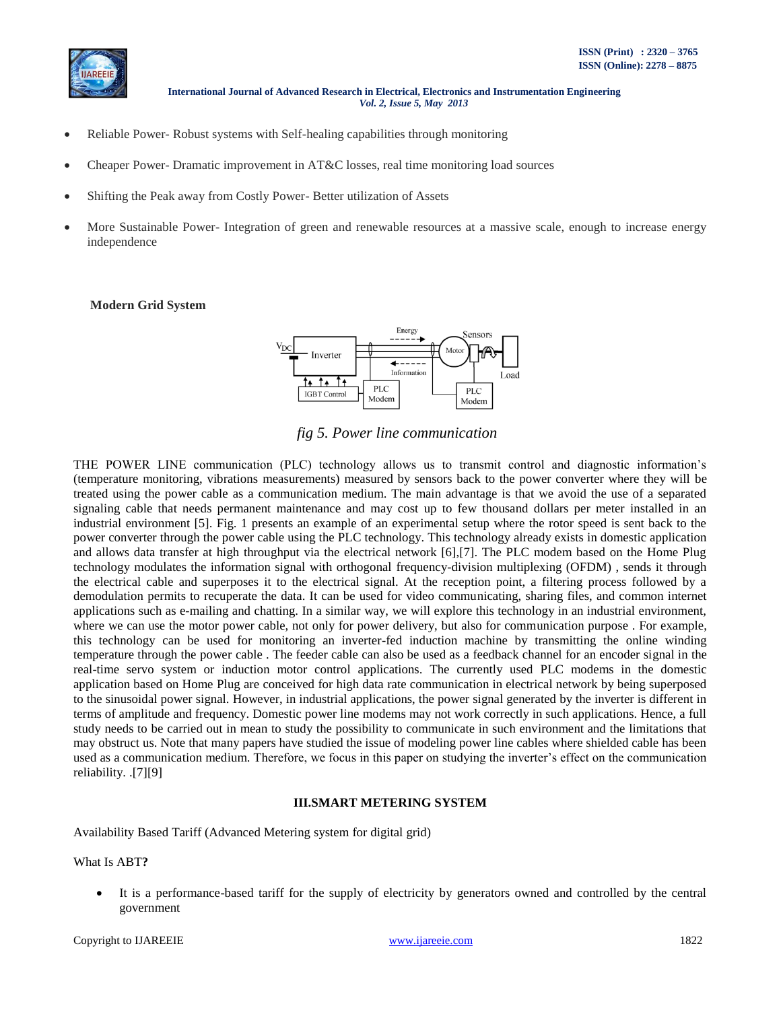

- Reliable Power- Robust systems with Self-healing capabilities through monitoring
- Cheaper Power- Dramatic improvement in AT&C losses, real time monitoring load sources
- Shifting the Peak away from Costly Power- Better utilization of Assets
- More Sustainable Power- Integration of green and renewable resources at a massive scale, enough to increase energy independence

#### **Modern Grid System**



*fig 5. Power line communication*

THE POWER LINE communication (PLC) technology allows us to transmit control and diagnostic information's (temperature monitoring, vibrations measurements) measured by sensors back to the power converter where they will be treated using the power cable as a communication medium. The main advantage is that we avoid the use of a separated signaling cable that needs permanent maintenance and may cost up to few thousand dollars per meter installed in an industrial environment [5]. Fig. 1 presents an example of an experimental setup where the rotor speed is sent back to the power converter through the power cable using the PLC technology. This technology already exists in domestic application and allows data transfer at high throughput via the electrical network [6],[7]. The PLC modem based on the Home Plug technology modulates the information signal with orthogonal frequency-division multiplexing (OFDM) , sends it through the electrical cable and superposes it to the electrical signal. At the reception point, a filtering process followed by a demodulation permits to recuperate the data. It can be used for video communicating, sharing files, and common internet applications such as e-mailing and chatting. In a similar way, we will explore this technology in an industrial environment, where we can use the motor power cable, not only for power delivery, but also for communication purpose. For example, this technology can be used for monitoring an inverter-fed induction machine by transmitting the online winding temperature through the power cable . The feeder cable can also be used as a feedback channel for an encoder signal in the real-time servo system or induction motor control applications. The currently used PLC modems in the domestic application based on Home Plug are conceived for high data rate communication in electrical network by being superposed to the sinusoidal power signal. However, in industrial applications, the power signal generated by the inverter is different in terms of amplitude and frequency. Domestic power line modems may not work correctly in such applications. Hence, a full study needs to be carried out in mean to study the possibility to communicate in such environment and the limitations that may obstruct us. Note that many papers have studied the issue of modeling power line cables where shielded cable has been used as a communication medium. Therefore, we focus in this paper on studying the inverter's effect on the communication reliability. .[7][9]

#### **III.SMART METERING SYSTEM**

Availability Based Tariff (Advanced Metering system for digital grid)

What Is ABT**?**

 It is a performance-based tariff for the supply of electricity by generators owned and controlled by the central government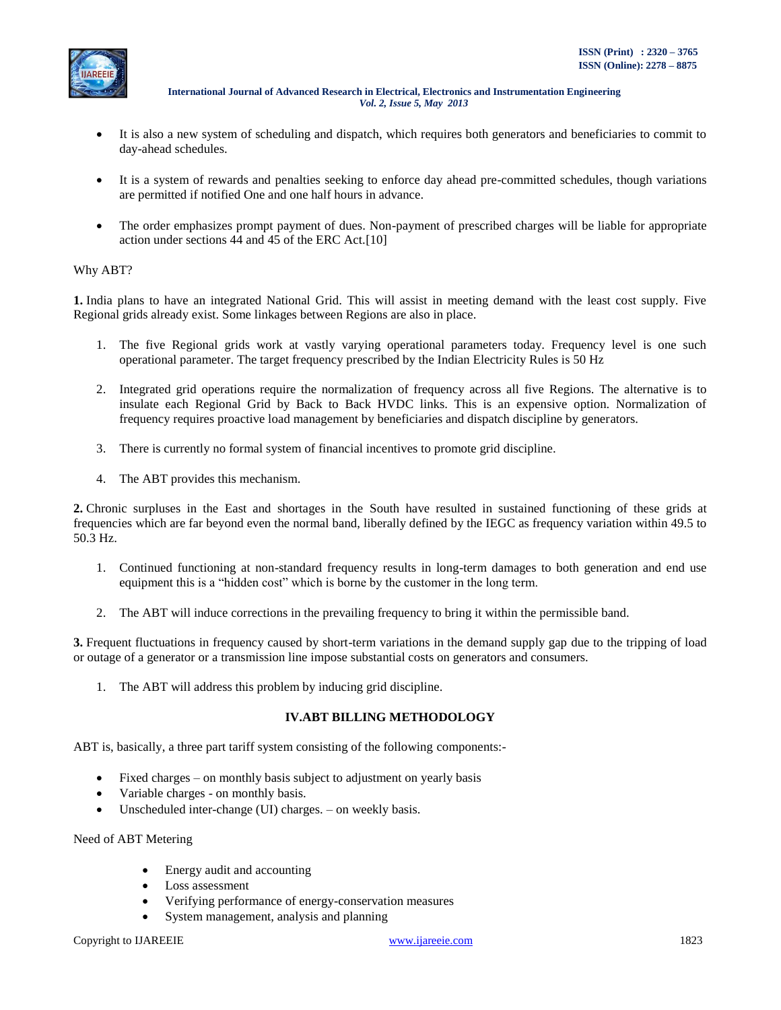

- It is also a new system of scheduling and dispatch, which requires both generators and beneficiaries to commit to day-ahead schedules.
- It is a system of rewards and penalties seeking to enforce day ahead pre-committed schedules, though variations are permitted if notified One and one half hours in advance.
- The order emphasizes prompt payment of dues. Non-payment of prescribed charges will be liable for appropriate action under sections 44 and 45 of the ERC Act.[10]

# Why ABT?

**1.** India plans to have an integrated National Grid. This will assist in meeting demand with the least cost supply. Five Regional grids already exist. Some linkages between Regions are also in place.

- 1. The five Regional grids work at vastly varying operational parameters today. Frequency level is one such operational parameter. The target frequency prescribed by the Indian Electricity Rules is 50 Hz
- 2. Integrated grid operations require the normalization of frequency across all five Regions. The alternative is to insulate each Regional Grid by Back to Back HVDC links. This is an expensive option. Normalization of frequency requires proactive load management by beneficiaries and dispatch discipline by generators.
- 3. There is currently no formal system of financial incentives to promote grid discipline.
- 4. The ABT provides this mechanism.

**2.** Chronic surpluses in the East and shortages in the South have resulted in sustained functioning of these grids at frequencies which are far beyond even the normal band, liberally defined by the IEGC as frequency variation within 49.5 to 50.3 Hz.

- 1. Continued functioning at non-standard frequency results in long-term damages to both generation and end use equipment this is a "hidden cost" which is borne by the customer in the long term.
- 2. The ABT will induce corrections in the prevailing frequency to bring it within the permissible band.

**3.** Frequent fluctuations in frequency caused by short-term variations in the demand supply gap due to the tripping of load or outage of a generator or a transmission line impose substantial costs on generators and consumers.

1. The ABT will address this problem by inducing grid discipline.

# **IV.ABT BILLING METHODOLOGY**

ABT is, basically, a three part tariff system consisting of the following components:-

- Fixed charges on monthly basis subject to adjustment on yearly basis
- Variable charges on monthly basis.
- Unscheduled inter-change (UI) charges. on weekly basis.

Need of ABT Metering

- Energy audit and accounting
- Loss assessment
- Verifying performance of energy-conservation measures
- System management, analysis and planning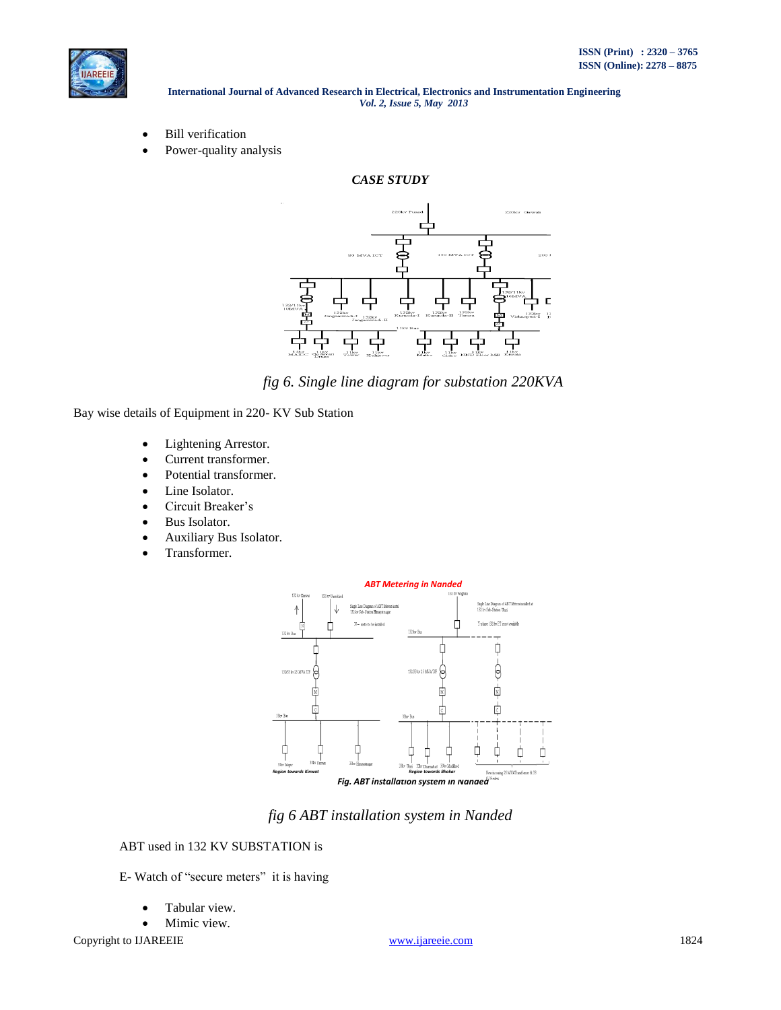

- Bill verification
- Power-quality analysis



*fig 6. Single line diagram for substation 220KVA* 

Bay wise details of Equipment in 220- KV Sub Station

- Lightening Arrestor.
- Current transformer.
- Potential transformer.
- Line Isolator.
- Circuit Breaker's
- Bus Isolator.
- Auxiliary Bus Isolator.
- Transformer.



*fig 6 ABT installation system in Nanded*

# ABT used in 132 KV SUBSTATION is

E- Watch of "secure meters" it is having

- Tabular view.
- Mimic view.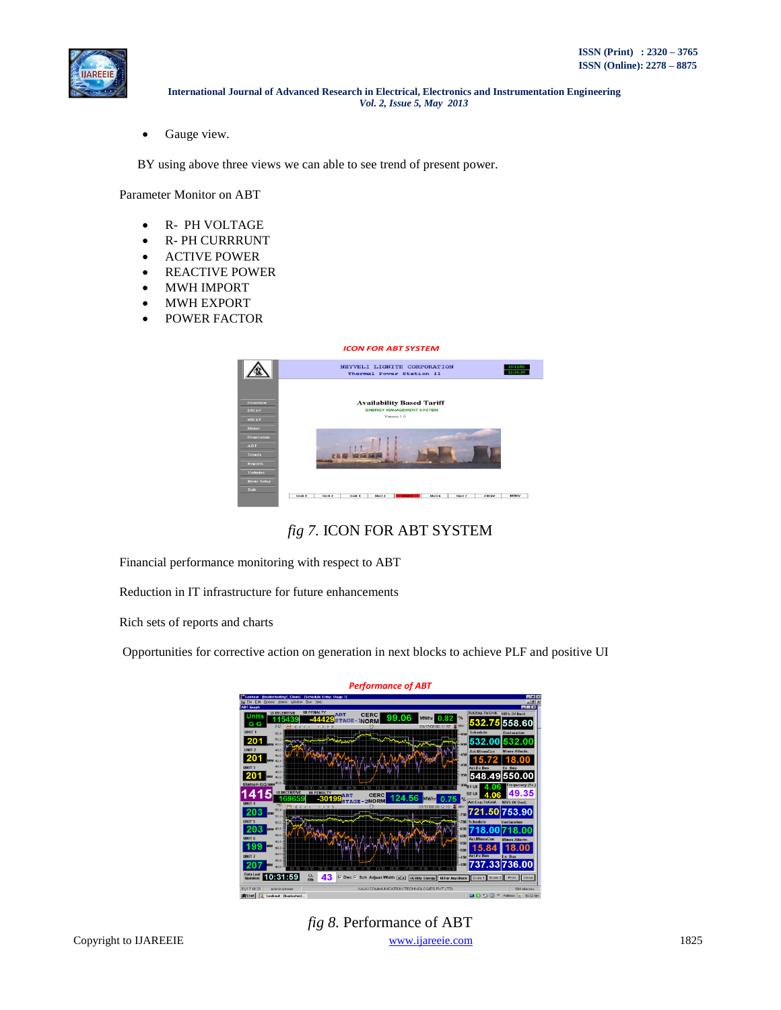

• Gauge view.

BY using above three views we can able to see trend of present power.

Parameter Monitor on ABT

- R- PH VOLTAGE
- R- PH CURRRUNT
- ACTIVE POWER
- REACTIVE POWER
- MWH IMPORT
- MWH EXPORT
- POWER FACTOR

| <b>ICON FOR ABT SYSTEM</b>                       |                                                                                    |  |  |        |  |  |  |  |                      |
|--------------------------------------------------|------------------------------------------------------------------------------------|--|--|--------|--|--|--|--|----------------------|
|                                                  | NEYVELI LIGNITE CORPORATION<br>Thermal Power Station II                            |  |  |        |  |  |  |  | 15/11/02<br>12.26.20 |
| Overview<br>$230 \text{ kV}$<br>$400 \text{ kV}$ | <b>Availability Based Tariff</b><br><b>ENERGY MANAGEMENT SYSTEM</b><br>Version 1.0 |  |  |        |  |  |  |  |                      |
| Meter<br>Generation                              |                                                                                    |  |  |        |  |  |  |  |                      |
| <b>ABT</b>                                       |                                                                                    |  |  |        |  |  |  |  |                      |
| <b>Trends</b>                                    |                                                                                    |  |  |        |  |  |  |  |                      |
| <b>Reports</b>                                   |                                                                                    |  |  |        |  |  |  |  |                      |
| Unitwixe                                         |                                                                                    |  |  |        |  |  |  |  |                      |
| <b>Meter Setup</b>                               |                                                                                    |  |  |        |  |  |  |  |                      |
| <b>Tixts</b>                                     |                                                                                    |  |  |        |  |  |  |  |                      |
|                                                  |                                                                                    |  |  | Unit 4 |  |  |  |  | <b>ABBKV</b>         |

*fig 7.* ICON FOR ABT SYSTEM

Financial performance monitoring with respect to ABT

Reduction in IT infrastructure for future enhancements

Rich sets of reports and charts

Opportunities for corrective action on generation in next blocks to achieve PLF and positive UI



Copyright to IJAREEIE [www.ijareeie.com](http://www.ijareeie.com/) 1825 *fig 8.* Performance of ABT